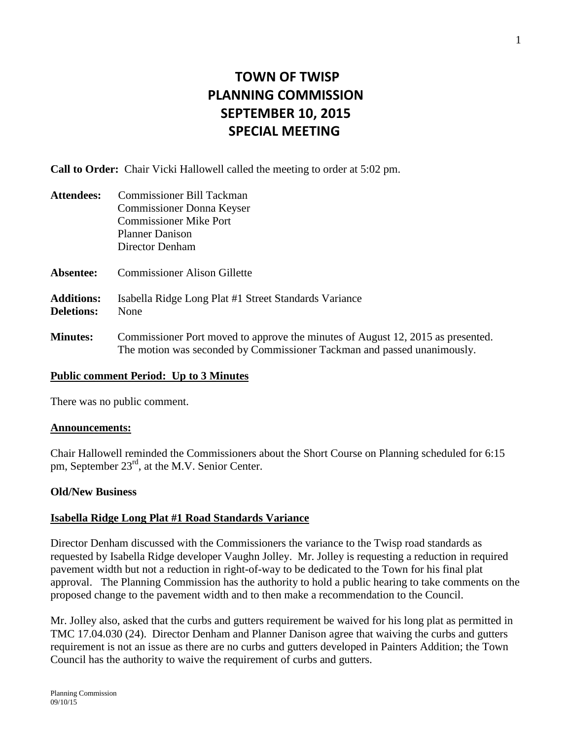# **TOWN OF TWISP PLANNING COMMISSION SEPTEMBER 10, 2015 SPECIAL MEETING**

**Call to Order:** Chair Vicki Hallowell called the meeting to order at 5:02 pm.

| <b>Attendees:</b> | <b>Commissioner Bill Tackman</b>                                                                                                                           |
|-------------------|------------------------------------------------------------------------------------------------------------------------------------------------------------|
|                   | Commissioner Donna Keyser                                                                                                                                  |
|                   | <b>Commissioner Mike Port</b>                                                                                                                              |
|                   | <b>Planner Danison</b>                                                                                                                                     |
|                   | Director Denham                                                                                                                                            |
| Absentee:         | <b>Commissioner Alison Gillette</b>                                                                                                                        |
| <b>Additions:</b> | Isabella Ridge Long Plat #1 Street Standards Variance                                                                                                      |
| <b>Deletions:</b> | None                                                                                                                                                       |
| <b>Minutes:</b>   | Commissioner Port moved to approve the minutes of August 12, 2015 as presented.<br>The motion was seconded by Commissioner Tackman and passed unanimously. |

#### **Public comment Period: Up to 3 Minutes**

There was no public comment.

#### **Announcements:**

Chair Hallowell reminded the Commissioners about the Short Course on Planning scheduled for 6:15 pm, September 23<sup>rd</sup>, at the M.V. Senior Center.

## **Old/New Business**

## **Isabella Ridge Long Plat #1 Road Standards Variance**

Director Denham discussed with the Commissioners the variance to the Twisp road standards as requested by Isabella Ridge developer Vaughn Jolley. Mr. Jolley is requesting a reduction in required pavement width but not a reduction in right-of-way to be dedicated to the Town for his final plat approval. The Planning Commission has the authority to hold a public hearing to take comments on the proposed change to the pavement width and to then make a recommendation to the Council.

Mr. Jolley also, asked that the curbs and gutters requirement be waived for his long plat as permitted in TMC 17.04.030 (24). Director Denham and Planner Danison agree that waiving the curbs and gutters requirement is not an issue as there are no curbs and gutters developed in Painters Addition; the Town Council has the authority to waive the requirement of curbs and gutters.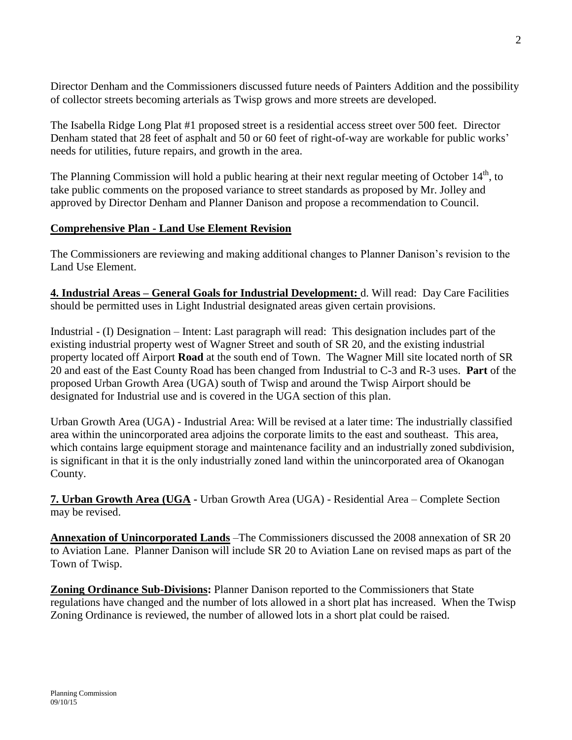Director Denham and the Commissioners discussed future needs of Painters Addition and the possibility of collector streets becoming arterials as Twisp grows and more streets are developed.

The Isabella Ridge Long Plat #1 proposed street is a residential access street over 500 feet. Director Denham stated that 28 feet of asphalt and 50 or 60 feet of right-of-way are workable for public works' needs for utilities, future repairs, and growth in the area.

The Planning Commission will hold a public hearing at their next regular meeting of October  $14<sup>th</sup>$ , to take public comments on the proposed variance to street standards as proposed by Mr. Jolley and approved by Director Denham and Planner Danison and propose a recommendation to Council.

## **Comprehensive Plan - Land Use Element Revision**

The Commissioners are reviewing and making additional changes to Planner Danison's revision to the Land Use Element.

**4. Industrial Areas – General Goals for Industrial Development:** d. Will read: Day Care Facilities should be permitted uses in Light Industrial designated areas given certain provisions.

Industrial - (I) Designation – Intent: Last paragraph will read: This designation includes part of the existing industrial property west of Wagner Street and south of SR 20, and the existing industrial property located off Airport **Road** at the south end of Town. The Wagner Mill site located north of SR 20 and east of the East County Road has been changed from Industrial to C-3 and R-3 uses. **Part** of the proposed Urban Growth Area (UGA) south of Twisp and around the Twisp Airport should be designated for Industrial use and is covered in the UGA section of this plan.

Urban Growth Area (UGA) - Industrial Area: Will be revised at a later time: The industrially classified area within the unincorporated area adjoins the corporate limits to the east and southeast. This area, which contains large equipment storage and maintenance facility and an industrially zoned subdivision, is significant in that it is the only industrially zoned land within the unincorporated area of Okanogan County.

**7. Urban Growth Area (UGA -** Urban Growth Area (UGA) - Residential Area – Complete Section may be revised.

**Annexation of Unincorporated Lands** –The Commissioners discussed the 2008 annexation of SR 20 to Aviation Lane. Planner Danison will include SR 20 to Aviation Lane on revised maps as part of the Town of Twisp.

**Zoning Ordinance Sub-Divisions:** Planner Danison reported to the Commissioners that State regulations have changed and the number of lots allowed in a short plat has increased. When the Twisp Zoning Ordinance is reviewed, the number of allowed lots in a short plat could be raised.